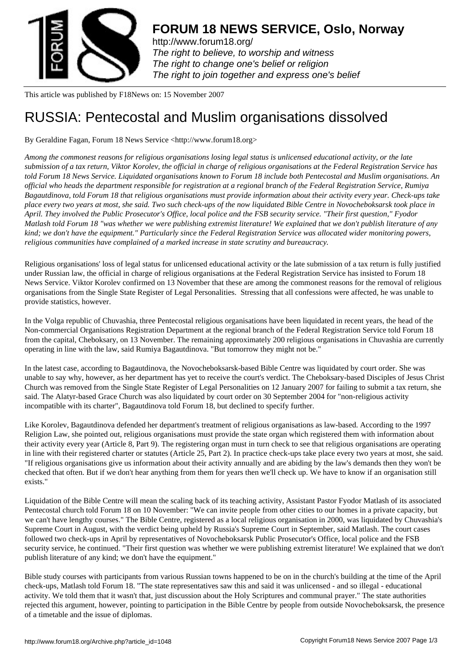

http://www.forum18.org/ The right to believe, to worship and witness The right to change one's belief or religion [The right to join together](http://www.forum18.org/) and express one's belief

This article was published by F18News on: 15 November 2007

## [RUSSIA: Pentecos](http://www.forum18.org)tal and Muslim organisations dissolved

By Geraldine Fagan, Forum 18 News Service <http://www.forum18.org>

*Among the commonest reasons for religious organisations losing legal status is unlicensed educational activity, or the late submission of a tax return, Viktor Korolev, the official in charge of religious organisations at the Federal Registration Service has told Forum 18 News Service. Liquidated organisations known to Forum 18 include both Pentecostal and Muslim organisations. An official who heads the department responsible for registration at a regional branch of the Federal Registration Service, Rumiya Bagautdinova, told Forum 18 that religious organisations must provide information about their activity every year. Check-ups take place every two years at most, she said. Two such check-ups of the now liquidated Bible Centre in Novocheboksarsk took place in April. They involved the Public Prosecutor's Office, local police and the FSB security service. "Their first question," Fyodor Matlash told Forum 18 "was whether we were publishing extremist literature! We explained that we don't publish literature of any kind; we don't have the equipment." Particularly since the Federal Registration Service was allocated wider monitoring powers, religious communities have complained of a marked increase in state scrutiny and bureaucracy.*

Religious organisations' loss of legal status for unlicensed educational activity or the late submission of a tax return is fully justified under Russian law, the official in charge of religious organisations at the Federal Registration Service has insisted to Forum 18 News Service. Viktor Korolev confirmed on 13 November that these are among the commonest reasons for the removal of religious organisations from the Single State Register of Legal Personalities. Stressing that all confessions were affected, he was unable to provide statistics, however.

In the Volga republic of Chuvashia, three Pentecostal religious organisations have been liquidated in recent years, the head of the Non-commercial Organisations Registration Department at the regional branch of the Federal Registration Service told Forum 18 from the capital, Cheboksary, on 13 November. The remaining approximately 200 religious organisations in Chuvashia are currently operating in line with the law, said Rumiya Bagautdinova. "But tomorrow they might not be."

In the latest case, according to Bagautdinova, the Novocheboksarsk-based Bible Centre was liquidated by court order. She was unable to say why, however, as her department has yet to receive the court's verdict. The Cheboksary-based Disciples of Jesus Christ Church was removed from the Single State Register of Legal Personalities on 12 January 2007 for failing to submit a tax return, she said. The Alatyr-based Grace Church was also liquidated by court order on 30 September 2004 for "non-religious activity incompatible with its charter", Bagautdinova told Forum 18, but declined to specify further.

Like Korolev, Bagautdinova defended her department's treatment of religious organisations as law-based. According to the 1997 Religion Law, she pointed out, religious organisations must provide the state organ which registered them with information about their activity every year (Article 8, Part 9). The registering organ must in turn check to see that religious organisations are operating in line with their registered charter or statutes (Article 25, Part 2). In practice check-ups take place every two years at most, she said. "If religious organisations give us information about their activity annually and are abiding by the law's demands then they won't be checked that often. But if we don't hear anything from them for years then we'll check up. We have to know if an organisation still exists."

Liquidation of the Bible Centre will mean the scaling back of its teaching activity, Assistant Pastor Fyodor Matlash of its associated Pentecostal church told Forum 18 on 10 November: "We can invite people from other cities to our homes in a private capacity, but we can't have lengthy courses." The Bible Centre, registered as a local religious organisation in 2000, was liquidated by Chuvashia's Supreme Court in August, with the verdict being upheld by Russia's Supreme Court in September, said Matlash. The court cases followed two check-ups in April by representatives of Novocheboksarsk Public Prosecutor's Office, local police and the FSB security service, he continued. "Their first question was whether we were publishing extremist literature! We explained that we don't publish literature of any kind; we don't have the equipment."

Bible study courses with participants from various Russian towns happened to be on in the church's building at the time of the April check-ups, Matlash told Forum 18. "The state representatives saw this and said it was unlicensed - and so illegal - educational activity. We told them that it wasn't that, just discussion about the Holy Scriptures and communal prayer." The state authorities rejected this argument, however, pointing to participation in the Bible Centre by people from outside Novocheboksarsk, the presence of a timetable and the issue of diplomas.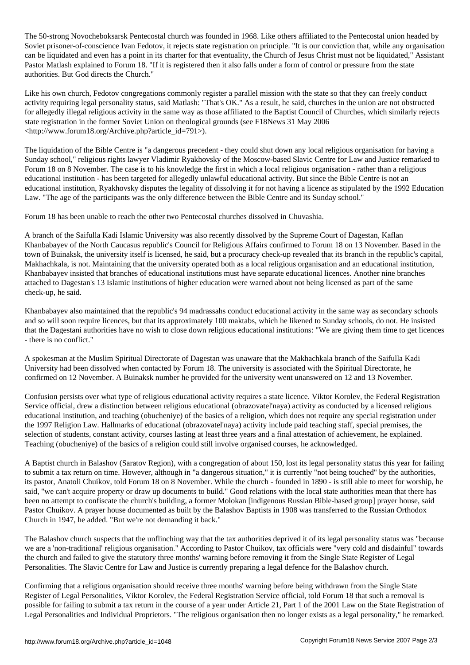The 50-strong Novocheboksarsk Pentecostal church was founded in 1968. Like others affiliated to the Pentecostal union headed by Soviet prisoner-of-conscience Ivan Fedotov, it rejects state registration on principle. "It is our conviction that, while any organisation can be liquidated and even has a point in its charter for that eventuality, the Church of Jesus Christ must not be liquidated," Assistant Pastor Matlash explained to Forum 18. "If it is registered then it also falls under a form of control or pressure from the state authorities. But God directs the Church."

Like his own church, Fedotov congregations commonly register a parallel mission with the state so that they can freely conduct activity requiring legal personality status, said Matlash: "That's OK." As a result, he said, churches in the union are not obstructed for allegedly illegal religious activity in the same way as those affiliated to the Baptist Council of Churches, which similarly rejects state registration in the former Soviet Union on theological grounds (see F18News 31 May 2006 <http://www.forum18.org/Archive.php?article\_id=791>).

The liquidation of the Bible Centre is "a dangerous precedent - they could shut down any local religious organisation for having a Sunday school," religious rights lawyer Vladimir Ryakhovsky of the Moscow-based Slavic Centre for Law and Justice remarked to Forum 18 on 8 November. The case is to his knowledge the first in which a local religious organisation - rather than a religious educational institution - has been targeted for allegedly unlawful educational activity. But since the Bible Centre is not an educational institution, Ryakhovsky disputes the legality of dissolving it for not having a licence as stipulated by the 1992 Education Law. "The age of the participants was the only difference between the Bible Centre and its Sunday school."

Forum 18 has been unable to reach the other two Pentecostal churches dissolved in Chuvashia.

A branch of the Saifulla Kadi Islamic University was also recently dissolved by the Supreme Court of Dagestan, Kaflan Khanbabayev of the North Caucasus republic's Council for Religious Affairs confirmed to Forum 18 on 13 November. Based in the town of Buinaksk, the university itself is licensed, he said, but a procuracy check-up revealed that its branch in the republic's capital, Makhachkala, is not. Maintaining that the university operated both as a local religious organisation and an educational institution, Khanbabayev insisted that branches of educational institutions must have separate educational licences. Another nine branches attached to Dagestan's 13 Islamic institutions of higher education were warned about not being licensed as part of the same check-up, he said.

Khanbabayev also maintained that the republic's 94 madrassahs conduct educational activity in the same way as secondary schools and so will soon require licences, but that its approximately 100 maktabs, which he likened to Sunday schools, do not. He insisted that the Dagestani authorities have no wish to close down religious educational institutions: "We are giving them time to get licences - there is no conflict."

A spokesman at the Muslim Spiritual Directorate of Dagestan was unaware that the Makhachkala branch of the Saifulla Kadi University had been dissolved when contacted by Forum 18. The university is associated with the Spiritual Directorate, he confirmed on 12 November. A Buinaksk number he provided for the university went unanswered on 12 and 13 November.

Confusion persists over what type of religious educational activity requires a state licence. Viktor Korolev, the Federal Registration Service official, drew a distinction between religious educational (obrazovatel'naya) activity as conducted by a licensed religious educational institution, and teaching (obucheniye) of the basics of a religion, which does not require any special registration under the 1997 Religion Law. Hallmarks of educational (obrazovatel'naya) activity include paid teaching staff, special premises, the selection of students, constant activity, courses lasting at least three years and a final attestation of achievement, he explained. Teaching (obucheniye) of the basics of a religion could still involve organised courses, he acknowledged.

A Baptist church in Balashov (Saratov Region), with a congregation of about 150, lost its legal personality status this year for failing to submit a tax return on time. However, although in "a dangerous situation," it is currently "not being touched" by the authorities, its pastor, Anatoli Chuikov, told Forum 18 on 8 November. While the church - founded in 1890 - is still able to meet for worship, he said, "we can't acquire property or draw up documents to build." Good relations with the local state authorities mean that there has been no attempt to confiscate the church's building, a former Molokan [indigenous Russian Bible-based group] prayer house, said Pastor Chuikov. A prayer house documented as built by the Balashov Baptists in 1908 was transferred to the Russian Orthodox Church in 1947, he added. "But we're not demanding it back."

The Balashov church suspects that the unflinching way that the tax authorities deprived it of its legal personality status was "because we are a 'non-traditional' religious organisation." According to Pastor Chuikov, tax officials were "very cold and disdainful" towards the church and failed to give the statutory three months' warning before removing it from the Single State Register of Legal Personalities. The Slavic Centre for Law and Justice is currently preparing a legal defence for the Balashov church.

Confirming that a religious organisation should receive three months' warning before being withdrawn from the Single State Register of Legal Personalities, Viktor Korolev, the Federal Registration Service official, told Forum 18 that such a removal is possible for failing to submit a tax return in the course of a year under Article 21, Part 1 of the 2001 Law on the State Registration of Legal Personalities and Individual Proprietors. "The religious organisation then no longer exists as a legal personality," he remarked.